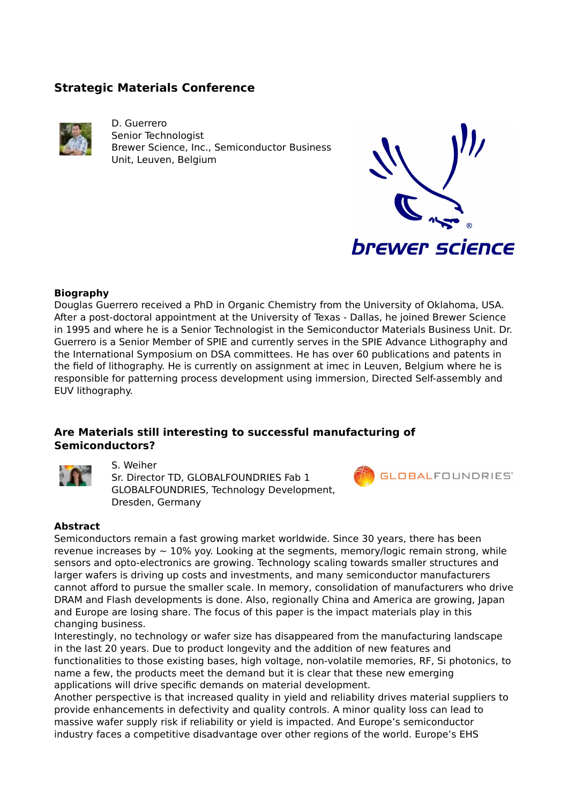# **Strategic Materials Conference**



D. Guerrero Senior Technologist Brewer Science, Inc., Semiconductor Business Unit, Leuven, Belgium



### **Biography**

Douglas Guerrero received a PhD in Organic Chemistry from the University of Oklahoma, USA. After a post-doctoral appointment at the University of Texas - Dallas, he joined Brewer Science in 1995 and where he is a Senior Technologist in the Semiconductor Materials Business Unit. Dr. Guerrero is a Senior Member of SPIE and currently serves in the SPIE Advance Lithography and the International Symposium on DSA committees. He has over 60 publications and patents in the field of lithography. He is currently on assignment at imec in Leuven, Belgium where he is responsible for patterning process development using immersion, Directed Self-assembly and EUV lithography.

### **Are Materials still interesting to successful manufacturing of Semiconductors?**



### S. Weiher

Sr. Director TD, GLOBALFOUNDRIES Fab 1 GLOBALFOUNDRIES, Technology Development, Dresden, Germany



#### **Abstract**

Semiconductors remain a fast growing market worldwide. Since 30 years, there has been revenue increases by  $\sim$  10% yoy. Looking at the segments, memory/logic remain strong, while sensors and opto-electronics are growing. Technology scaling towards smaller structures and larger wafers is driving up costs and investments, and many semiconductor manufacturers cannot afford to pursue the smaller scale. In memory, consolidation of manufacturers who drive DRAM and Flash developments is done. Also, regionally China and America are growing, Japan and Europe are losing share. The focus of this paper is the impact materials play in this changing business.

Interestingly, no technology or wafer size has disappeared from the manufacturing landscape in the last 20 years. Due to product longevity and the addition of new features and functionalities to those existing bases, high voltage, non-volatile memories, RF, Si photonics, to name a few, the products meet the demand but it is clear that these new emerging applications will drive specific demands on material development.

Another perspective is that increased quality in yield and reliability drives material suppliers to provide enhancements in defectivity and quality controls. A minor quality loss can lead to massive wafer supply risk if reliability or yield is impacted. And Europe's semiconductor industry faces a competitive disadvantage over other regions of the world. Europe's EHS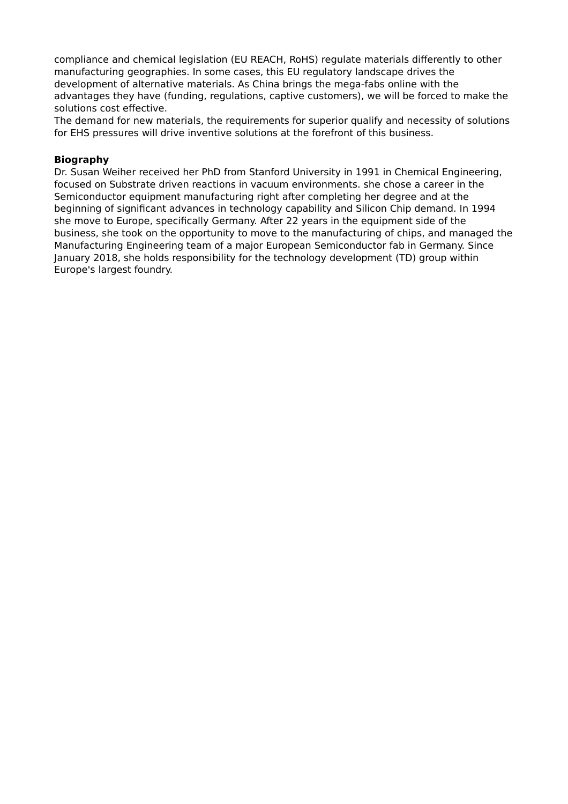compliance and chemical legislation (EU REACH, RoHS) regulate materials differently to other manufacturing geographies. In some cases, this EU regulatory landscape drives the development of alternative materials. As China brings the mega-fabs online with the advantages they have (funding, regulations, captive customers), we will be forced to make the solutions cost effective.

The demand for new materials, the requirements for superior qualify and necessity of solutions for EHS pressures will drive inventive solutions at the forefront of this business.

### **Biography**

Dr. Susan Weiher received her PhD from Stanford University in 1991 in Chemical Engineering, focused on Substrate driven reactions in vacuum environments. she chose a career in the Semiconductor equipment manufacturing right after completing her degree and at the beginning of significant advances in technology capability and Silicon Chip demand. In 1994 she move to Europe, specifically Germany. After 22 years in the equipment side of the business, she took on the opportunity to move to the manufacturing of chips, and managed the Manufacturing Engineering team of a major European Semiconductor fab in Germany. Since January 2018, she holds responsibility for the technology development (TD) group within Europe's largest foundry.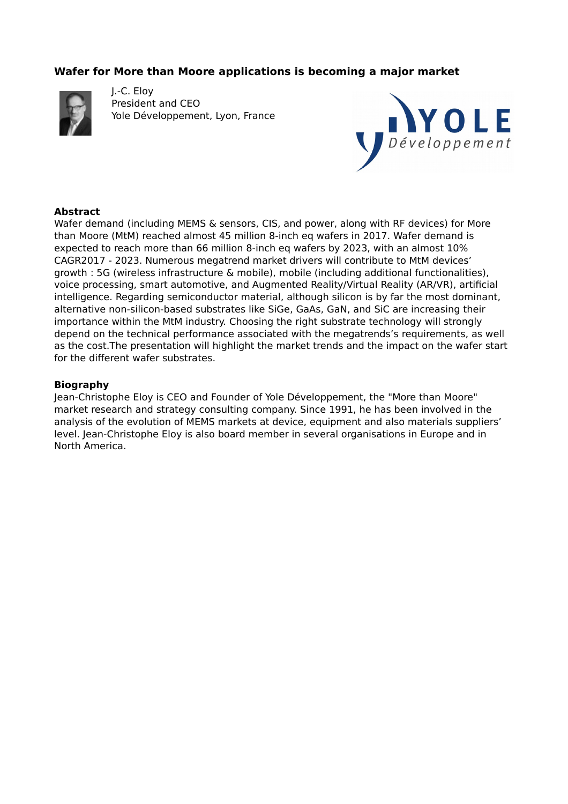## **Wafer for More than Moore applications is becoming a major market**



J.-C. Eloy President and CEO Yole Développement, Lyon, France



### **Abstract**

Wafer demand (including MEMS & sensors, CIS, and power, along with RF devices) for More than Moore (MtM) reached almost 45 million 8-inch eq wafers in 2017. Wafer demand is expected to reach more than 66 million 8-inch eq wafers by 2023, with an almost 10% CAGR2017 - 2023. Numerous megatrend market drivers will contribute to MtM devices' growth : 5G (wireless infrastructure & mobile), mobile (including additional functionalities), voice processing, smart automotive, and Augmented Reality/Virtual Reality (AR/VR), artificial intelligence. Regarding semiconductor material, although silicon is by far the most dominant, alternative non-silicon-based substrates like SiGe, GaAs, GaN, and SiC are increasing their importance within the MtM industry. Choosing the right substrate technology will strongly depend on the technical performance associated with the megatrends's requirements, as well as the cost.The presentation will highlight the market trends and the impact on the wafer start for the different wafer substrates.

#### **Biography**

Jean-Christophe Eloy is CEO and Founder of Yole Développement, the "More than Moore" market research and strategy consulting company. Since 1991, he has been involved in the analysis of the evolution of MEMS markets at device, equipment and also materials suppliers' level. Jean-Christophe Eloy is also board member in several organisations in Europe and in North America.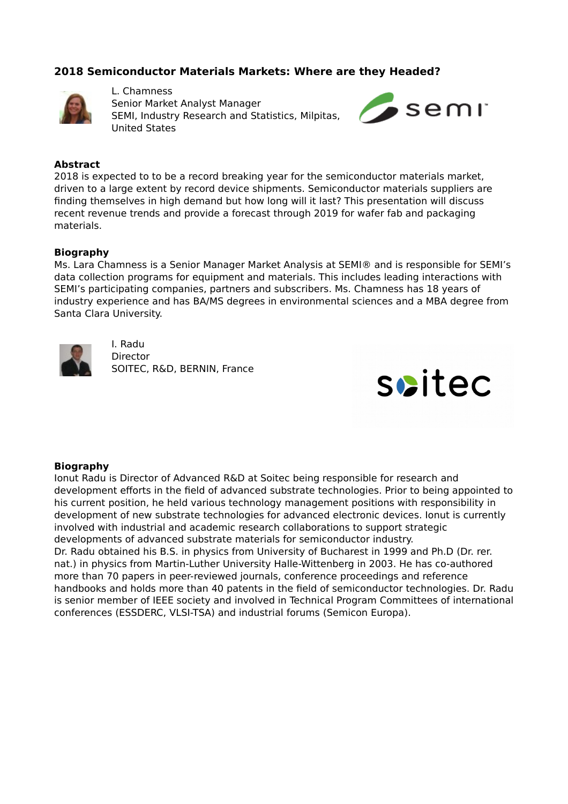### **2018 Semiconductor Materials Markets: Where are they Headed?**



L. Chamness Senior Market Analyst Manager SEMI, Industry Research and Statistics, Milpitas, United States



### **Abstract**

2018 is expected to to be a record breaking year for the semiconductor materials market, driven to a large extent by record device shipments. Semiconductor materials suppliers are finding themselves in high demand but how long will it last? This presentation will discuss recent revenue trends and provide a forecast through 2019 for wafer fab and packaging materials.

#### **Biography**

Ms. Lara Chamness is a Senior Manager Market Analysis at SEMI® and is responsible for SEMI's data collection programs for equipment and materials. This includes leading interactions with SEMI's participating companies, partners and subscribers. Ms. Chamness has 18 years of industry experience and has BA/MS degrees in environmental sciences and a MBA degree from Santa Clara University.



I. Radu **Director** SOITEC, R&D, BERNIN, France



#### **Biography**

Ionut Radu is Director of Advanced R&D at Soitec being responsible for research and development efforts in the field of advanced substrate technologies. Prior to being appointed to his current position, he held various technology management positions with responsibility in development of new substrate technologies for advanced electronic devices. Ionut is currently involved with industrial and academic research collaborations to support strategic developments of advanced substrate materials for semiconductor industry. Dr. Radu obtained his B.S. in physics from University of Bucharest in 1999 and Ph.D (Dr. rer. nat.) in physics from Martin-Luther University Halle-Wittenberg in 2003. He has co-authored more than 70 papers in peer-reviewed journals, conference proceedings and reference handbooks and holds more than 40 patents in the field of semiconductor technologies. Dr. Radu is senior member of IEEE society and involved in Technical Program Committees of international conferences (ESSDERC, VLSI-TSA) and industrial forums (Semicon Europa).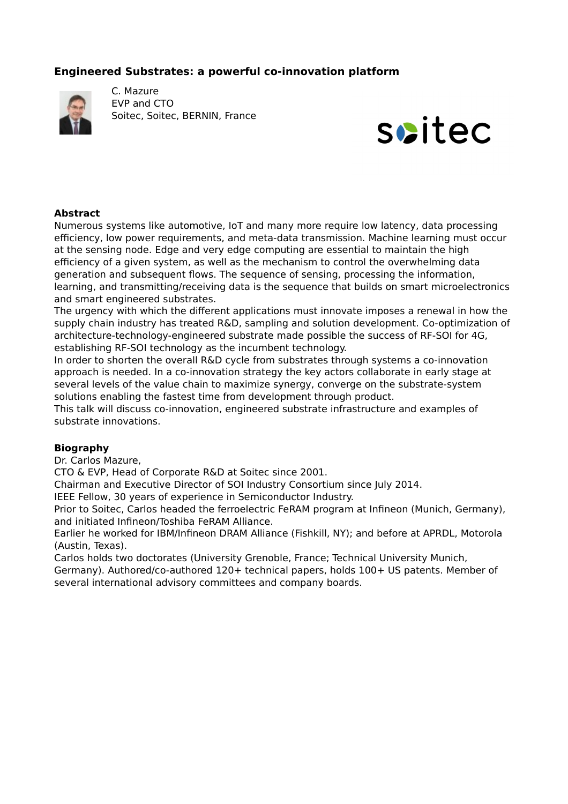## **Engineered Substrates: a powerful co-innovation platform**



C. Mazure EVP and CTO Soitec, Soitec, BERNIN, France



### **Abstract**

Numerous systems like automotive, IoT and many more require low latency, data processing efficiency, low power requirements, and meta-data transmission. Machine learning must occur at the sensing node. Edge and very edge computing are essential to maintain the high efficiency of a given system, as well as the mechanism to control the overwhelming data generation and subsequent flows. The sequence of sensing, processing the information, learning, and transmitting/receiving data is the sequence that builds on smart microelectronics and smart engineered substrates.

The urgency with which the different applications must innovate imposes a renewal in how the supply chain industry has treated R&D, sampling and solution development. Co-optimization of architecture-technology-engineered substrate made possible the success of RF-SOI for 4G, establishing RF-SOI technology as the incumbent technology.

In order to shorten the overall R&D cycle from substrates through systems a co-innovation approach is needed. In a co-innovation strategy the key actors collaborate in early stage at several levels of the value chain to maximize synergy, converge on the substrate-system solutions enabling the fastest time from development through product.

This talk will discuss co-innovation, engineered substrate infrastructure and examples of substrate innovations.

#### **Biography**

Dr. Carlos Mazure,

CTO & EVP, Head of Corporate R&D at Soitec since 2001.

Chairman and Executive Director of SOI Industry Consortium since July 2014.

IEEE Fellow, 30 years of experience in Semiconductor Industry.

Prior to Soitec, Carlos headed the ferroelectric FeRAM program at Infineon (Munich, Germany), and initiated Infineon/Toshiba FeRAM Alliance.

Earlier he worked for IBM/Infineon DRAM Alliance (Fishkill, NY); and before at APRDL, Motorola (Austin, Texas).

Carlos holds two doctorates (University Grenoble, France; Technical University Munich,

Germany). Authored/co-authored 120+ technical papers, holds 100+ US patents. Member of several international advisory committees and company boards.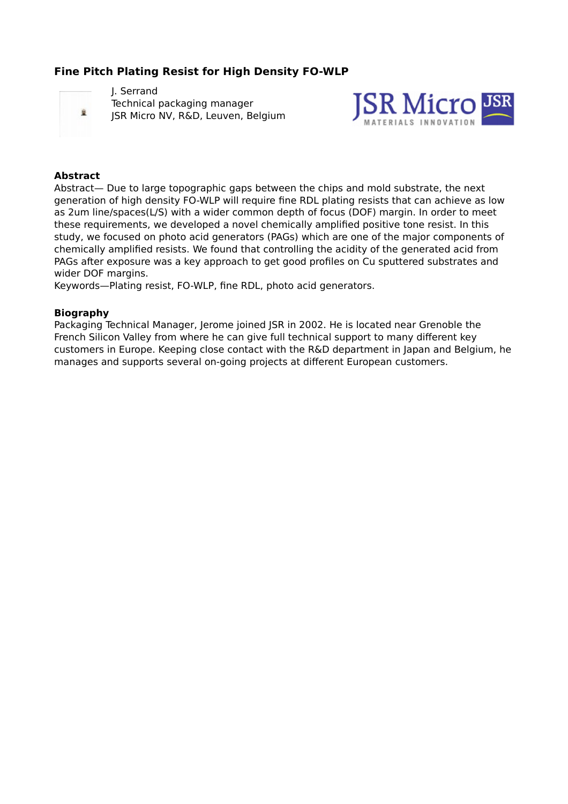# **Fine Pitch Plating Resist for High Density FO-WLP**



J. Serrand Technical packaging manager JSR Micro NV, R&D, Leuven, Belgium



### **Abstract**

Abstract— Due to large topographic gaps between the chips and mold substrate, the next generation of high density FO-WLP will require fine RDL plating resists that can achieve as low as 2um line/spaces(L/S) with a wider common depth of focus (DOF) margin. In order to meet these requirements, we developed a novel chemically amplified positive tone resist. In this study, we focused on photo acid generators (PAGs) which are one of the major components of chemically amplified resists. We found that controlling the acidity of the generated acid from PAGs after exposure was a key approach to get good profiles on Cu sputtered substrates and wider DOF margins.

Keywords—Plating resist, FO-WLP, fine RDL, photo acid generators.

### **Biography**

Packaging Technical Manager, Jerome joined JSR in 2002. He is located near Grenoble the French Silicon Valley from where he can give full technical support to many different key customers in Europe. Keeping close contact with the R&D department in Japan and Belgium, he manages and supports several on-going projects at different European customers.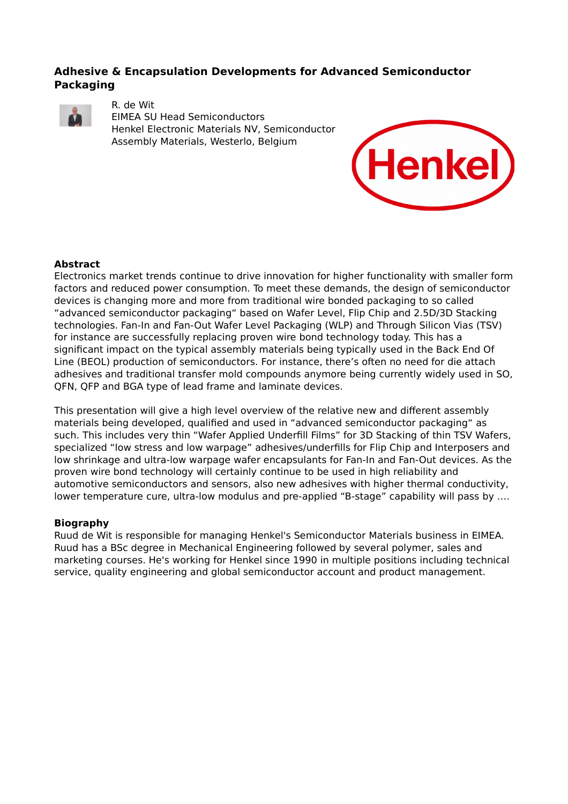### **Adhesive & Encapsulation Developments for Advanced Semiconductor Packaging**



#### R. de Wit

EIMEA SU Head Semiconductors Henkel Electronic Materials NV, Semiconductor Assembly Materials, Westerlo, Belgium



### **Abstract**

Electronics market trends continue to drive innovation for higher functionality with smaller form factors and reduced power consumption. To meet these demands, the design of semiconductor devices is changing more and more from traditional wire bonded packaging to so called "advanced semiconductor packaging" based on Wafer Level, Flip Chip and 2.5D/3D Stacking technologies. Fan-In and Fan-Out Wafer Level Packaging (WLP) and Through Silicon Vias (TSV) for instance are successfully replacing proven wire bond technology today. This has a significant impact on the typical assembly materials being typically used in the Back End Of Line (BEOL) production of semiconductors. For instance, there's often no need for die attach adhesives and traditional transfer mold compounds anymore being currently widely used in SO, QFN, QFP and BGA type of lead frame and laminate devices.

This presentation will give a high level overview of the relative new and different assembly materials being developed, qualified and used in "advanced semiconductor packaging" as such. This includes very thin "Wafer Applied Underfill Films" for 3D Stacking of thin TSV Wafers, specialized "low stress and low warpage" adhesives/underfills for Flip Chip and Interposers and low shrinkage and ultra-low warpage wafer encapsulants for Fan-In and Fan-Out devices. As the proven wire bond technology will certainly continue to be used in high reliability and automotive semiconductors and sensors, also new adhesives with higher thermal conductivity, lower temperature cure, ultra-low modulus and pre-applied "B-stage" capability will pass by ....

### **Biography**

Ruud de Wit is responsible for managing Henkel's Semiconductor Materials business in EIMEA. Ruud has a BSc degree in Mechanical Engineering followed by several polymer, sales and marketing courses. He's working for Henkel since 1990 in multiple positions including technical service, quality engineering and global semiconductor account and product management.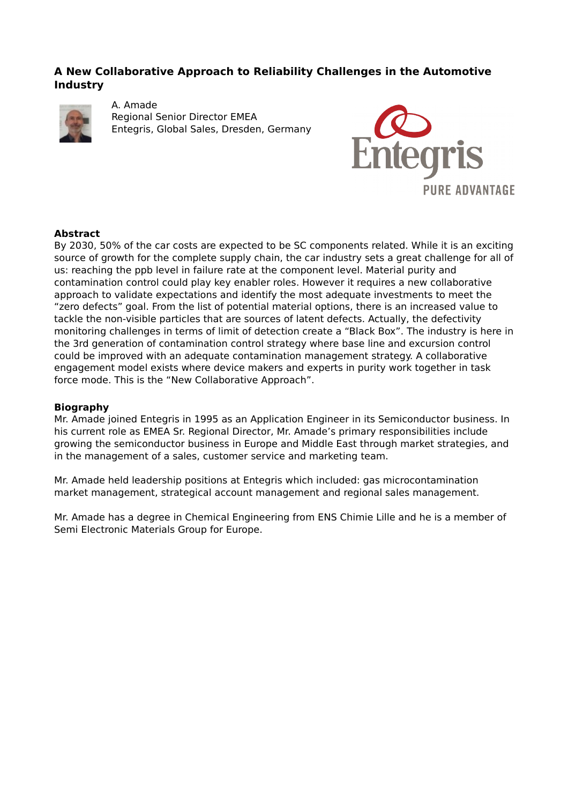### **A New Collaborative Approach to Reliability Challenges in the Automotive Industry**



A. Amade Regional Senior Director EMEA Entegris, Global Sales, Dresden, Germany



### **Abstract**

By 2030, 50% of the car costs are expected to be SC components related. While it is an exciting source of growth for the complete supply chain, the car industry sets a great challenge for all of us: reaching the ppb level in failure rate at the component level. Material purity and contamination control could play key enabler roles. However it requires a new collaborative approach to validate expectations and identify the most adequate investments to meet the "zero defects" goal. From the list of potential material options, there is an increased value to tackle the non-visible particles that are sources of latent defects. Actually, the defectivity monitoring challenges in terms of limit of detection create a "Black Box". The industry is here in the 3rd generation of contamination control strategy where base line and excursion control could be improved with an adequate contamination management strategy. A collaborative engagement model exists where device makers and experts in purity work together in task force mode. This is the "New Collaborative Approach".

### **Biography**

Mr. Amade joined Entegris in 1995 as an Application Engineer in its Semiconductor business. In his current role as EMEA Sr. Regional Director, Mr. Amade's primary responsibilities include growing the semiconductor business in Europe and Middle East through market strategies, and in the management of a sales, customer service and marketing team.

Mr. Amade held leadership positions at Entegris which included: gas microcontamination market management, strategical account management and regional sales management.

Mr. Amade has a degree in Chemical Engineering from ENS Chimie Lille and he is a member of Semi Electronic Materials Group for Europe.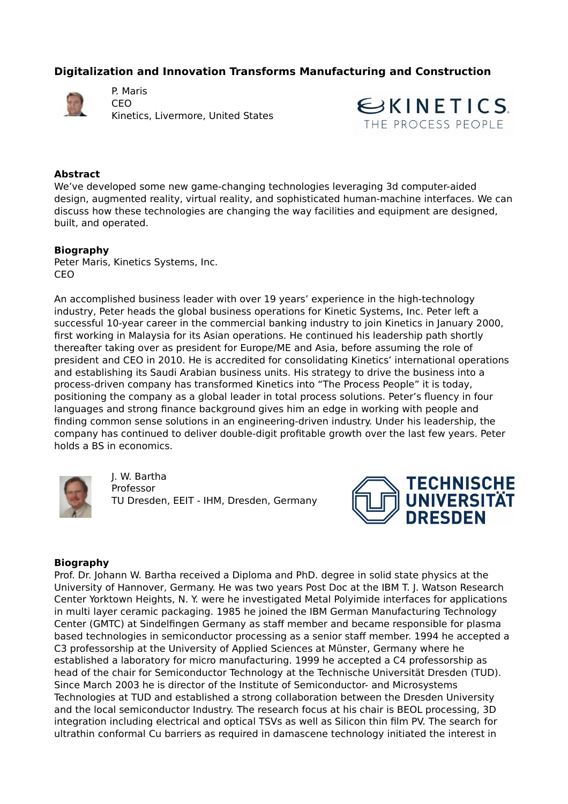# **Digitalization and Innovation Transforms Manufacturing and Construction**



P. Maris CEO Kinetics, Livermore, United States



### **Abstract**

We've developed some new game-changing technologies leveraging 3d computer-aided design, augmented reality, virtual reality, and sophisticated human-machine interfaces. We can discuss how these technologies are changing the way facilities and equipment are designed, built, and operated.

### **Biography**

Peter Maris, Kinetics Systems, Inc. CEO

An accomplished business leader with over 19 years' experience in the high-technology industry, Peter heads the global business operations for Kinetic Systems, Inc. Peter left a successful 10-year career in the commercial banking industry to join Kinetics in January 2000, first working in Malaysia for its Asian operations. He continued his leadership path shortly thereafter taking over as president for Europe/ME and Asia, before assuming the role of president and CEO in 2010. He is accredited for consolidating Kinetics' international operations and establishing its Saudi Arabian business units. His strategy to drive the business into a process-driven company has transformed Kinetics into "The Process People" it is today, positioning the company as a global leader in total process solutions. Peter's fluency in four languages and strong finance background gives him an edge in working with people and finding common sense solutions in an engineering-driven industry. Under his leadership, the company has continued to deliver double-digit profitable growth over the last few years. Peter holds a BS in economics.



J. W. Bartha Professor TU Dresden, EEIT - IHM, Dresden, Germany



#### **Biography**

Prof. Dr. Johann W. Bartha received a Diploma and PhD. degree in solid state physics at the University of Hannover, Germany. He was two years Post Doc at the IBM T. J. Watson Research Center Yorktown Heights, N. Y. were he investigated Metal Polyimide interfaces for applications in multi layer ceramic packaging. 1985 he joined the IBM German Manufacturing Technology Center (GMTC) at Sindelfingen Germany as staff member and became responsible for plasma based technologies in semiconductor processing as a senior staff member. 1994 he accepted a C3 professorship at the University of Applied Sciences at Münster, Germany where he established a laboratory for micro manufacturing. 1999 he accepted a C4 professorship as head of the chair for Semiconductor Technology at the Technische Universität Dresden (TUD). Since March 2003 he is director of the Institute of Semiconductor- and Microsystems Technologies at TUD and established a strong collaboration between the Dresden University and the local semiconductor Industry. The research focus at his chair is BEOL processing, 3D integration including electrical and optical TSVs as well as Silicon thin film PV. The search for ultrathin conformal Cu barriers as required in damascene technology initiated the interest in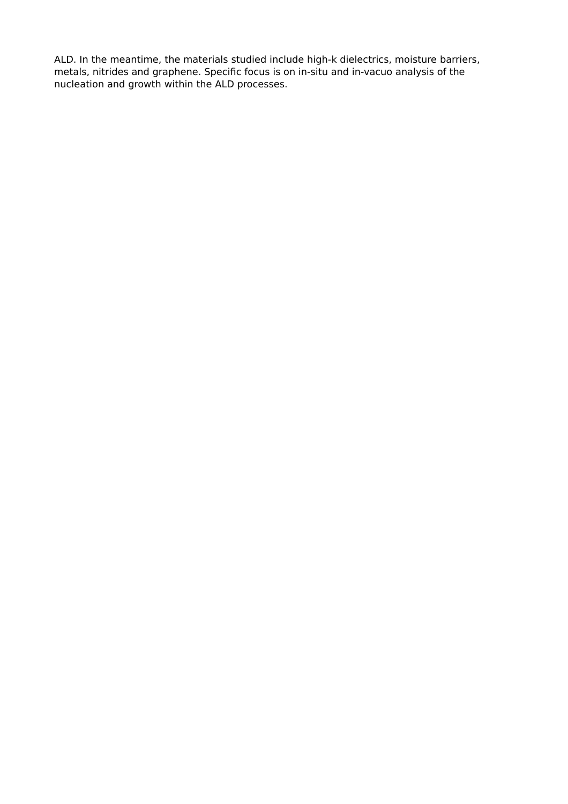ALD. In the meantime, the materials studied include high-k dielectrics, moisture barriers, metals, nitrides and graphene. Specific focus is on in-situ and in-vacuo analysis of the nucleation and growth within the ALD processes.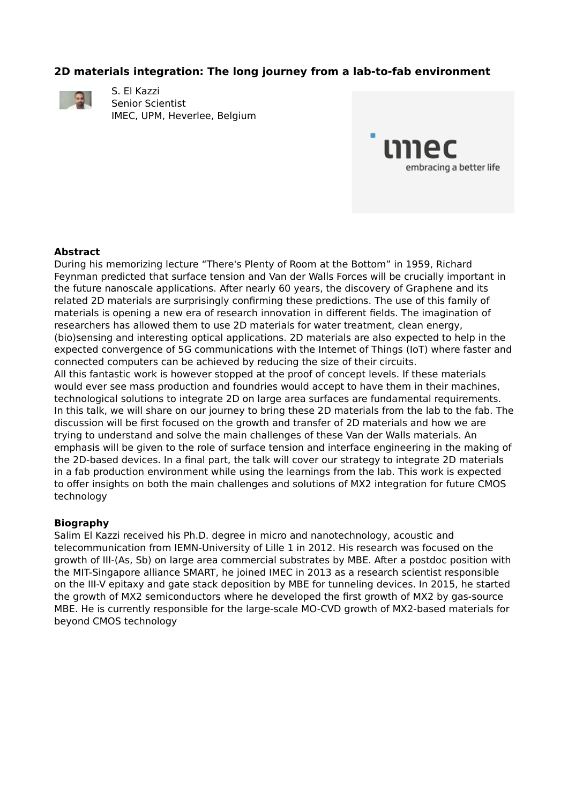### **2D materials integration: The long journey from a lab-to-fab environment**



S. El Kazzi Senior Scientist IMEC, UPM, Heverlee, Belgium



### **Abstract**

During his memorizing lecture "There's Plenty of Room at the Bottom" in 1959, Richard Feynman predicted that surface tension and Van der Walls Forces will be crucially important in the future nanoscale applications. After nearly 60 years, the discovery of Graphene and its related 2D materials are surprisingly confirming these predictions. The use of this family of materials is opening a new era of research innovation in different fields. The imagination of researchers has allowed them to use 2D materials for water treatment, clean energy, (bio)sensing and interesting optical applications. 2D materials are also expected to help in the expected convergence of 5G communications with the Internet of Things (IoT) where faster and connected computers can be achieved by reducing the size of their circuits. All this fantastic work is however stopped at the proof of concept levels. If these materials would ever see mass production and foundries would accept to have them in their machines,

technological solutions to integrate 2D on large area surfaces are fundamental requirements. In this talk, we will share on our journey to bring these 2D materials from the lab to the fab. The discussion will be first focused on the growth and transfer of 2D materials and how we are trying to understand and solve the main challenges of these Van der Walls materials. An emphasis will be given to the role of surface tension and interface engineering in the making of the 2D-based devices. In a final part, the talk will cover our strategy to integrate 2D materials in a fab production environment while using the learnings from the lab. This work is expected to offer insights on both the main challenges and solutions of MX2 integration for future CMOS technology

#### **Biography**

Salim El Kazzi received his Ph.D. degree in micro and nanotechnology, acoustic and telecommunication from IEMN-University of Lille 1 in 2012. His research was focused on the growth of III-(As, Sb) on large area commercial substrates by MBE. After a postdoc position with the MIT-Singapore alliance SMART, he joined IMEC in 2013 as a research scientist responsible on the III-V epitaxy and gate stack deposition by MBE for tunneling devices. In 2015, he started the growth of MX2 semiconductors where he developed the first growth of MX2 by gas-source MBE. He is currently responsible for the large-scale MO-CVD growth of MX2-based materials for beyond CMOS technology